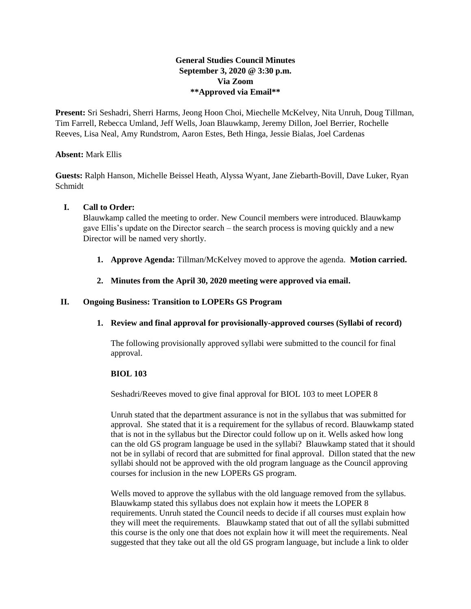# **General Studies Council Minutes September 3, 2020 @ 3:30 p.m. Via Zoom \*\*Approved via Email\*\***

**Present:** Sri Seshadri, Sherri Harms, Jeong Hoon Choi, Miechelle McKelvey, Nita Unruh, Doug Tillman, Tim Farrell, Rebecca Umland, Jeff Wells, Joan Blauwkamp, Jeremy Dillon, Joel Berrier, Rochelle Reeves, Lisa Neal, Amy Rundstrom, Aaron Estes, Beth Hinga, Jessie Bialas, Joel Cardenas

## **Absent:** Mark Ellis

**Guests:** Ralph Hanson, Michelle Beissel Heath, Alyssa Wyant, Jane Ziebarth-Bovill, Dave Luker, Ryan Schmidt

## **I. Call to Order:**

Blauwkamp called the meeting to order. New Council members were introduced. Blauwkamp gave Ellis's update on the Director search – the search process is moving quickly and a new Director will be named very shortly.

- **1. Approve Agenda:** Tillman/McKelvey moved to approve the agenda. **Motion carried.**
- **2. Minutes from the April 30, 2020 meeting were approved via email.**

## **II. Ongoing Business: Transition to LOPERs GS Program**

**1. Review and final approval for provisionally-approved courses (Syllabi of record)**

The following provisionally approved syllabi were submitted to the council for final approval.

#### **BIOL 103**

Seshadri/Reeves moved to give final approval for BIOL 103 to meet LOPER 8

Unruh stated that the department assurance is not in the syllabus that was submitted for approval. She stated that it is a requirement for the syllabus of record. Blauwkamp stated that is not in the syllabus but the Director could follow up on it. Wells asked how long can the old GS program language be used in the syllabi? Blauwkamp stated that it should not be in syllabi of record that are submitted for final approval. Dillon stated that the new syllabi should not be approved with the old program language as the Council approving courses for inclusion in the new LOPERs GS program.

Wells moved to approve the syllabus with the old language removed from the syllabus. Blauwkamp stated this syllabus does not explain how it meets the LOPER 8 requirements. Unruh stated the Council needs to decide if all courses must explain how they will meet the requirements. Blauwkamp stated that out of all the syllabi submitted this course is the only one that does not explain how it will meet the requirements. Neal suggested that they take out all the old GS program language, but include a link to older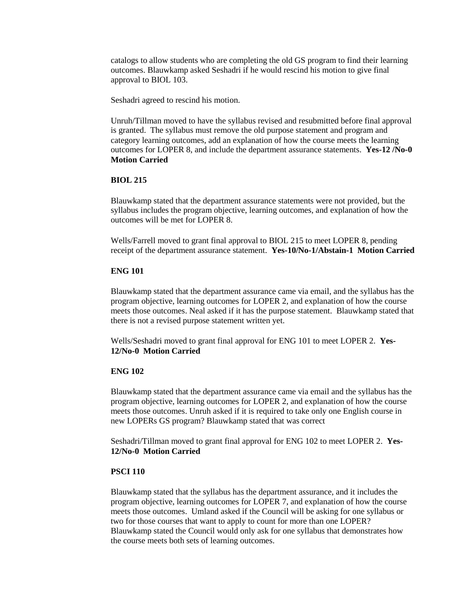catalogs to allow students who are completing the old GS program to find their learning outcomes. Blauwkamp asked Seshadri if he would rescind his motion to give final approval to BIOL 103.

Seshadri agreed to rescind his motion.

Unruh/Tillman moved to have the syllabus revised and resubmitted before final approval is granted. The syllabus must remove the old purpose statement and program and category learning outcomes, add an explanation of how the course meets the learning outcomes for LOPER 8, and include the department assurance statements. **Yes-12 /No-0 Motion Carried**

#### **BIOL 215**

Blauwkamp stated that the department assurance statements were not provided, but the syllabus includes the program objective, learning outcomes, and explanation of how the outcomes will be met for LOPER 8.

Wells/Farrell moved to grant final approval to BIOL 215 to meet LOPER 8, pending receipt of the department assurance statement. **Yes-10/No-1/Abstain-1 Motion Carried**

## **ENG 101**

Blauwkamp stated that the department assurance came via email, and the syllabus has the program objective, learning outcomes for LOPER 2, and explanation of how the course meets those outcomes. Neal asked if it has the purpose statement. Blauwkamp stated that there is not a revised purpose statement written yet.

Wells/Seshadri moved to grant final approval for ENG 101 to meet LOPER 2. **Yes-12/No-0 Motion Carried**

#### **ENG 102**

Blauwkamp stated that the department assurance came via email and the syllabus has the program objective, learning outcomes for LOPER 2, and explanation of how the course meets those outcomes. Unruh asked if it is required to take only one English course in new LOPERs GS program? Blauwkamp stated that was correct

Seshadri/Tillman moved to grant final approval for ENG 102 to meet LOPER 2. **Yes-12/No-0 Motion Carried**

#### **PSCI 110**

Blauwkamp stated that the syllabus has the department assurance, and it includes the program objective, learning outcomes for LOPER 7, and explanation of how the course meets those outcomes. Umland asked if the Council will be asking for one syllabus or two for those courses that want to apply to count for more than one LOPER? Blauwkamp stated the Council would only ask for one syllabus that demonstrates how the course meets both sets of learning outcomes.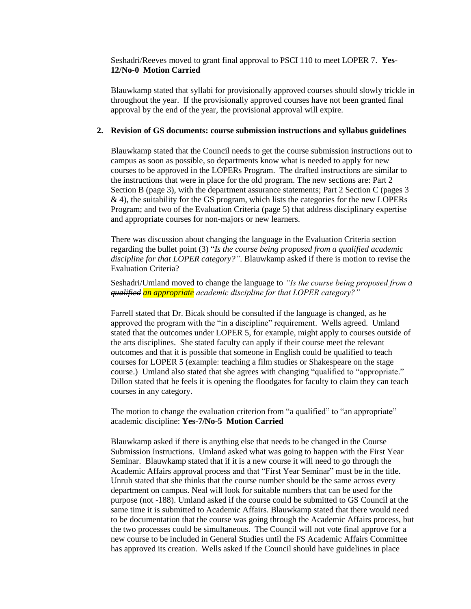Seshadri/Reeves moved to grant final approval to PSCI 110 to meet LOPER 7. **Yes-12/No-0 Motion Carried**

Blauwkamp stated that syllabi for provisionally approved courses should slowly trickle in throughout the year. If the provisionally approved courses have not been granted final approval by the end of the year, the provisional approval will expire.

#### **2. Revision of GS documents: course submission instructions and syllabus guidelines**

Blauwkamp stated that the Council needs to get the course submission instructions out to campus as soon as possible, so departments know what is needed to apply for new courses to be approved in the LOPERs Program. The drafted instructions are similar to the instructions that were in place for the old program. The new sections are: Part 2 Section B (page 3), with the department assurance statements; Part 2 Section C (pages 3 & 4), the suitability for the GS program, which lists the categories for the new LOPERs Program; and two of the Evaluation Criteria (page 5) that address disciplinary expertise and appropriate courses for non-majors or new learners.

There was discussion about changing the language in the Evaluation Criteria section regarding the bullet point (3) "*Is the course being proposed from a qualified academic discipline for that LOPER category?"*. Blauwkamp asked if there is motion to revise the Evaluation Criteria?

Seshadri/Umland moved to change the language to *"Is the course being proposed from a qualified an appropriate academic discipline for that LOPER category?"*

Farrell stated that Dr. Bicak should be consulted if the language is changed, as he approved the program with the "in a discipline" requirement. Wells agreed. Umland stated that the outcomes under LOPER 5, for example, might apply to courses outside of the arts disciplines. She stated faculty can apply if their course meet the relevant outcomes and that it is possible that someone in English could be qualified to teach courses for LOPER 5 (example: teaching a film studies or Shakespeare on the stage course.) Umland also stated that she agrees with changing "qualified to "appropriate." Dillon stated that he feels it is opening the floodgates for faculty to claim they can teach courses in any category.

The motion to change the evaluation criterion from "a qualified" to "an appropriate" academic discipline: **Yes-7/No-5 Motion Carried**

Blauwkamp asked if there is anything else that needs to be changed in the Course Submission Instructions. Umland asked what was going to happen with the First Year Seminar. Blauwkamp stated that if it is a new course it will need to go through the Academic Affairs approval process and that "First Year Seminar" must be in the title. Unruh stated that she thinks that the course number should be the same across every department on campus. Neal will look for suitable numbers that can be used for the purpose (not -188). Umland asked if the course could be submitted to GS Council at the same time it is submitted to Academic Affairs. Blauwkamp stated that there would need to be documentation that the course was going through the Academic Affairs process, but the two processes could be simultaneous. The Council will not vote final approve for a new course to be included in General Studies until the FS Academic Affairs Committee has approved its creation. Wells asked if the Council should have guidelines in place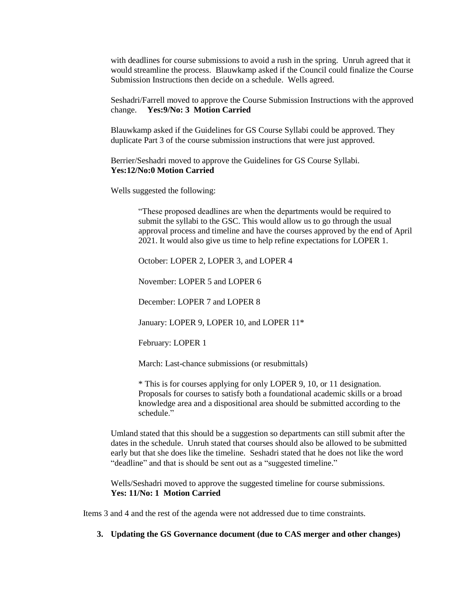with deadlines for course submissions to avoid a rush in the spring. Unruh agreed that it would streamline the process. Blauwkamp asked if the Council could finalize the Course Submission Instructions then decide on a schedule. Wells agreed.

Seshadri/Farrell moved to approve the Course Submission Instructions with the approved change. **Yes:9/No: 3 Motion Carried**

Blauwkamp asked if the Guidelines for GS Course Syllabi could be approved. They duplicate Part 3 of the course submission instructions that were just approved.

Berrier/Seshadri moved to approve the Guidelines for GS Course Syllabi. **Yes:12/No:0 Motion Carried**

Wells suggested the following:

"These proposed deadlines are when the departments would be required to submit the syllabi to the GSC. This would allow us to go through the usual approval process and timeline and have the courses approved by the end of April 2021. It would also give us time to help refine expectations for LOPER 1.

October: LOPER 2, LOPER 3, and LOPER 4

November: LOPER 5 and LOPER 6

December: LOPER 7 and LOPER 8

January: LOPER 9, LOPER 10, and LOPER 11\*

February: LOPER 1

March: Last-chance submissions (or resubmittals)

\* This is for courses applying for only LOPER 9, 10, or 11 designation. Proposals for courses to satisfy both a foundational academic skills or a broad knowledge area and a dispositional area should be submitted according to the schedule."

Umland stated that this should be a suggestion so departments can still submit after the dates in the schedule. Unruh stated that courses should also be allowed to be submitted early but that she does like the timeline. Seshadri stated that he does not like the word "deadline" and that is should be sent out as a "suggested timeline."

Wells/Seshadri moved to approve the suggested timeline for course submissions. **Yes: 11/No: 1 Motion Carried**

Items 3 and 4 and the rest of the agenda were not addressed due to time constraints.

**3. Updating the GS Governance document (due to CAS merger and other changes)**